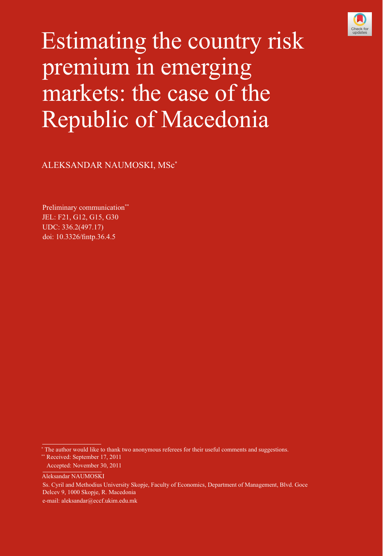

# Estimating the country risk premium in emerging markets: the case of the Republic of Macedonia

ALEKSANDAR NAUMOSKI, MSc\*

Preliminary communication\*\* JEL: F21, G12, G15, G30 UDC: 336.2(497.17) doi: 10.3326/fintp.36.4.5

Aleksandar NAUMOSKI

Ss. Cyril and Methodius University Skopje, Faculty of Economics, Department of Management, Blvd. Goce Delcev 9, 1000 Skopje, R. Macedonia e-mail: aleksandar@eccf.ukim.edu.mk

<sup>\*</sup> The author would like to thank two anonymous referees for their useful comments and suggestions.

<sup>\*\*</sup> Received: September 17, 2011

Accepted: November 30, 2011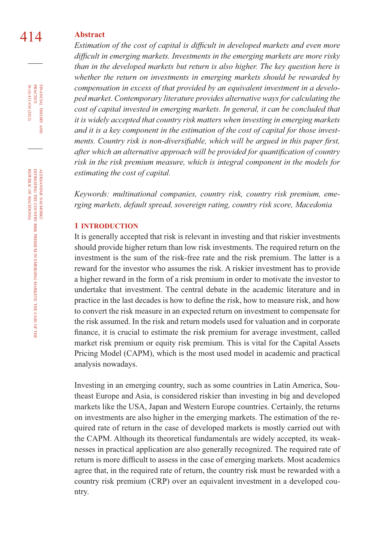## 414 **Abstract**

*Estimation of the cost of capital is difficult in developed markets and even more difficult in emerging markets. Investments in the emerging markets are more risky than in the developed markets but return is also higher. The key question here is whether the return on investments in emerging markets should be rewarded by compensation in excess of that provided by an equivalent investment in a developed market. Contemporary literature provides alternative ways for calculating the*  cost of capital invested in emerging markets. In general, it can be concluded that *it is widely accepted that country risk matters when investing in emerging markets and it is a key component in the estimation of the cost of capital for those investments. Country risk is non-diversifiable, which will be argued in this paper first,* after which an alternative approach will be provided for quantification of country *risk in the risk premium measure, which is integral component in the models for estimating the cost of capital.* 

*Keywords: multinational companies, country risk, country risk premium, emerging markets, default spread, sovereign rating, country risk score, Macedonia* 

#### **1 INTRODUCTION**

It is generally accepted that risk is relevant in investing and that riskier investments should provide higher return than low risk investments. The required return on the investment is the sum of the risk-free rate and the risk premium. The latter is a reward for the investor who assumes the risk. A riskier investment has to provide a higher reward in the form of a risk premium in order to motivate the investor to undertake that investment. The central debate in the academic literature and in practice in the last decades is how to define the risk, how to measure risk, and how to convert the risk measure in an expected return on investment to compensate for the risk assumed. In the risk and return models used for valuation and in corporate finance, it is crucial to estimate the risk premium for average investment, called market risk premium or equity risk premium. This is vital for the Capital Assets Pricing Model (CAPM), which is the most used model in academic and practical analysis nowadays.

Investing in an emerging country, such as some countries in Latin America, Southeast Europe and Asia, is considered riskier than investing in big and developed markets like the USA, Japan and Western Europe countries. Certainly, the returns on investments are also higher in the emerging markets. The estimation of the required rate of return in the case of developed markets is mostly carried out with the CAPM. Although its theoretical fundamentals are widely accepted, its weaknesses in practical application are also generally recognized. The required rate of return is more difficult to assess in the case of emerging markets. Most academics agree that, in the required rate of return, the country risk must be rewarded with a country risk premium (CRP) over an equivalent investment in a developed country.

FINANCIAL THEORY AND PRACTICE 36 (4) 413-434 (2012) 36 (4) 413-434 (2012) PRACTICE FINANCIAL THEORY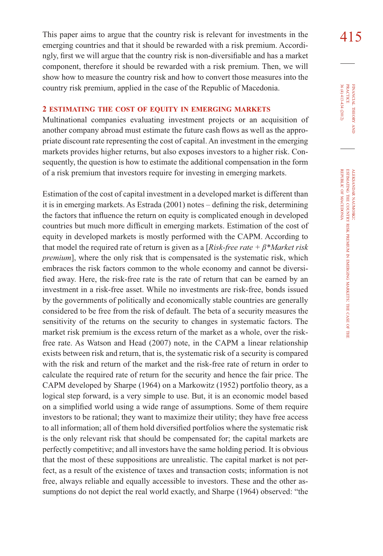This paper aims to argue that the country risk is relevant for investments in the  $415$ emerging countries and that it should be rewarded with a risk premium. Accordingly, first we will argue that the country risk is non-diversifiable and has a market component, therefore it should be rewarded with a risk premium. Then, we will show how to measure the country risk and how to convert those measures into the country risk premium, applied in the case of the Republic of Macedonia.

#### **2 ESTIMATING THE COST OF EQUITY IN EMERGING MARKETS**

Multinational companies evaluating investment projects or an acquisition of another company abroad must estimate the future cash flows as well as the appropriate discount rate representing the cost of capital. An investment in the emerging markets provides higher returns, but also exposes investors to a higher risk. Consequently, the question is how to estimate the additional compensation in the form of a risk premium that investors require for investing in emerging markets.

Estimation of the cost of capital investment in a developed market is different than it is in emerging markets. As Estrada  $(2001)$  notes – defining the risk, determining the factors that influence the return on equity is complicated enough in developed countries but much more difficult in emerging markets. Estimation of the cost of equity in developed markets is mostly performed with the CAPM. According to that model the required rate of return is given as a [*Risk-free rate + β\*Market risk premium*], where the only risk that is compensated is the systematic risk, which embraces the risk factors common to the whole economy and cannot be diversified away. Here, the risk-free rate is the rate of return that can be earned by an investment in a risk-free asset. While no investments are risk-free, bonds issued by the governments of politically and economically stable countries are generally considered to be free from the risk of default. The beta of a security measures the sensitivity of the returns on the security to changes in systematic factors. The market risk premium is the excess return of the market as a whole, over the riskfree rate. As Watson and Head (2007) note, in the CAPM a linear relationship exists between risk and return, that is, the systematic risk of a security is compared with the risk and return of the market and the risk-free rate of return in order to calculate the required rate of return for the security and hence the fair price. The CAPM developed by Sharpe (1964) on a Markowitz (1952) portfolio theory, as a logical step forward, is a very simple to use. But, it is an economic model based on a simplified world using a wide range of assumptions. Some of them require investors to be rational; they want to maximize their utility; they have free access to all information; all of them hold diversified portfolios where the systematic risk is the only relevant risk that should be compensated for; the capital markets are perfectly competitive; and all investors have the same holding period. It is obvious that the most of these suppositions are unrealistic. The capital market is not perfect, as a result of the existence of taxes and transaction costs; information is not free, always reliable and equally accessible to investors. These and the other assumptions do not depict the real world exactly, and Sharpe (1964) observed: "the

FINANCIAL THEORY FINANCIAL THEORY AND<br>PRACTICE<br>36 (4) 413-434 (2012) 36 (4) 413-434 (2012) PRACTICE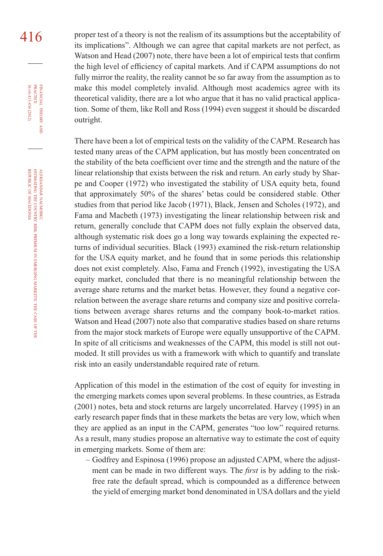416 proper test of a theory is not the realism of its assumptions but the acceptability of its implications". Although we can agree that capital markets are not perfect, as Watson and Head  $(2007)$  note, there have been a lot of empirical tests that confirm the high level of efficiency of capital markets. And if CAPM assumptions do not fully mirror the reality, the reality cannot be so far away from the assumption as to make this model completely invalid. Although most academics agree with its theoretical validity, there are a lot who argue that it has no valid practical application. Some of them, like Roll and Ross (1994) even suggest it should be discarded outright.

> There have been a lot of empirical tests on the validity of the CAPM. Research has tested many areas of the CAPM application, but has mostly been concentrated on the stability of the beta coefficient over time and the strength and the nature of the linear relationship that exists between the risk and return. An early study by Sharpe and Cooper (1972) who investigated the stability of USA equity beta, found that approximately 50% of the shares' betas could be considered stable. Other studies from that period like Jacob (1971), Black, Jensen and Scholes (1972), and Fama and Macbeth (1973) investigating the linear relationship between risk and return, generally conclude that CAPM does not fully explain the observed data, although systematic risk does go a long way towards explaining the expected returns of individual securities. Black (1993) examined the risk-return relationship for the USA equity market, and he found that in some periods this relationship does not exist completely. Also, Fama and French (1992), investigating the USA equity market, concluded that there is no meaningful relationship between the average share returns and the market betas. However, they found a negative correlation between the average share returns and company size and positive correlations between average shares returns and the company book-to-market ratios. Watson and Head (2007) note also that comparative studies based on share returns from the major stock markets of Europe were equally unsupportive of the CAPM. In spite of all criticisms and weaknesses of the CAPM, this model is still not outmoded. It still provides us with a framework with which to quantify and translate risk into an easily understandable required rate of return.

> Application of this model in the estimation of the cost of equity for investing in the emerging markets comes upon several problems. In these countries, as Estrada (2001) notes, beta and stock returns are largely uncorrelated. Harvey (1995) in an early research paper finds that in these markets the betas are very low, which when they are applied as an input in the CAPM, generates "too low" required returns. As a result, many studies propose an alternative way to estimate the cost of equity in emerging markets. Some of them are:

– Godfrеy and Espinosa (1996) propose an adjusted CAPM, where the adjustment can be made in two different ways. The *first* is by adding to the riskfree rate the default spread, which is compounded as a difference between the yield of emerging market bond denominated in USA dollars and the yield

FINANCIAL

36 (4) 413-434 (2012)

THEORY FINANCIAL THEORY AND PRACTICE 36 (4) 413-434 (2012) PRACTICE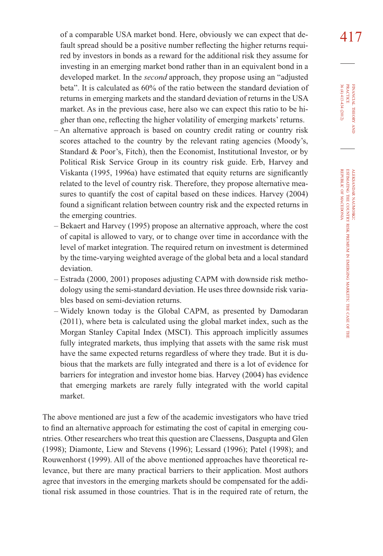of a comparable USA market bond. Here, obviously we can expect that de- $\frac{417}{2}$ fault spread should be a positive number reflecting the higher returns required by investors in bonds as a reward for the additional risk they assume for investing in an emerging market bond rather than in an equivalent bond in a developed market. In the *second* approach, they propose using an "adjusted beta". It is calculated as 60% of the ratio between the standard deviation of returns in emerging markets and the standard deviation of returns in the USA market. As in the previous case, here also we can expect this ratio to be higher than one, reflecting the higher volatility of emerging markets' returns.

- An alternative approach is based on country credit rating or country risk scores attached to the country by the relevant rating agencies (Moody's, Standard & Poor's, Fitch), then the Economist, Institutional Investor, or by Political Risk Service Group in its country risk guide. Erb, Harvey and Viskanta (1995, 1996a) have estimated that equity returns are significantly related to the level of country risk. Therefore, they propose alternative measures to quantify the cost of capital based on these indices. Harvey (2004) found a significant relation between country risk and the expected returns in the emerging countries.
- Bekaert and Harvey (1995) propose an alternative approach, where the cost of capital is allowed to vary, or to change over time in accordance with the level of market integration. The required return on investment is determined by the time-varying weighted average of the global beta and a local standard deviation.
- Estrada (2000, 2001) proposes adjusting CAPM with downside risk methodology using the semi-standard deviation. He uses three downside risk variables based on semi-deviation returns.
- Widely known today is the Global CAPM, as presented by Damodaran (2011), where beta is calculated using the global market index, such as the Morgan Stanley Capital Index (MSCI). This approach implicitly assumes fully integrated markets, thus implying that assets with the same risk must have the same expected returns regardless of where they trade. But it is dubious that the markets are fully integrated and there is a lot of evidence for barriers for integration and investor home bias. Harvey (2004) has evidence that emerging markets are rarely fully integrated with the world capital market.

The above mentioned are just a few of the academic investigators who have tried to find an alternative approach for estimating the cost of capital in emerging countries. Other researchers who treat this question are Claessens, Dasgupta and Glen (1998); Diamonte, Liew and Stevens (1996); Lessard (1996); Patel (1998); and Rouwenhorst (1999). All of the above mentioned approaches have theoretical relevance, but there are many practical barriers to their application. Most authors agree that investors in the emerging markets should be compensated for the additional risk assumed in those countries. That is in the required rate of return, the

FINANCIAL THEORY FINANCIAL THEORY AND RRACTICE<br>PRACTICE<br>36 (4) 413-434 (2012) 36 (4) 413-434 (2012) PRACTICE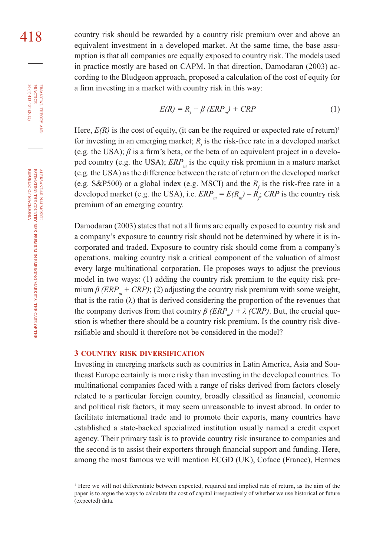418 country risk should be rewarded by a country risk premium over and above an equivalent investment in a developed market. At the same time, the base assumption is that all companies are equally exposed to country risk. The models used in practice mostly are based on CAPM. In that direction, Damodaran (2003) according to the Bludgeon approach, proposed a calculation of the cost of equity for a firm investing in a market with country risk in this way:

$$
E(R) = R_f + \beta (ERP_m) + CRP \tag{1}
$$

Here,  $E(R)$  is the cost of equity, (it can be the required or expected rate of return)<sup>1</sup> for investing in an emerging market;  $R_f$  is the risk-free rate in a developed market (e.g. the USA);  $\beta$  is a firm's beta, or the beta of an equivalent project in a developed country (e.g. the USA); *ERP<sub>m</sub>* is the equity risk premium in a mature market (e.g. the USA) as the difference between the rate of return on the developed market (e.g. S&P500) or a global index (e.g. MSCI) and the  $R_f$  is the risk-free rate in a developed market (e.g. the USA), i.e.  $ERP_m = E(R_m) - R_j$ ; *CRP* is the country risk premium of an emerging country.

Damodaran (2003) states that not all firms are equally exposed to country risk and a company's exposure to country risk should not be determined by where it is incorporated and traded. Exposure to country risk should come from a company's operations, making country risk a critical component of the valuation of almost every large multinational corporation. He proposes ways to adjust the previous model in two ways: (1) adding the country risk premium to the equity risk premium  $\beta$  (ERP<sub>m</sub> + CRP); (2) adjusting the country risk premium with some weight, that is the ratio  $(\lambda)$  that is derived considering the proportion of the revenues that the company derives from that country  $\beta$  (ERP<sub>n</sub>) +  $\lambda$  (CRP). But, the crucial question is whether there should be a country risk premium. Is the country risk diversifiable and should it therefore not be considered in the model?

#### **3 COUNTRY RISK DIVERSIFICATION**

Investing in emerging markets such as countries in Latin America, Asia and Southeast Europe certainly is more risky than investing in the developed countries. To multinational companies faced with a range of risks derived from factors closely related to a particular foreign country, broadly classified as financial, economic and political risk factors, it may seem unreasonable to invest abroad. In order to facilitate international trade and to promote their exports, many countries have established a state-backed specialized institution usually named a credit export agency. Their primary task is to provide country risk insurance to companies and the second is to assist their exporters through financial support and funding. Here, among the most famous we will mention ECGD (UK), Coface (France), Hermes

FINANCIAL

36 (4) 413-434 (2012)

THEORY FINANCIAL THEORY AND PRACTICE 36 (4) 413-434 (2012) PRACTICE

<sup>1</sup> Here we will not differentiate between expected, required and implied rate of return, as the aim of the paper is to argue the ways to calculate the cost of capital irrespectively of whether we use historical or future (expected) data.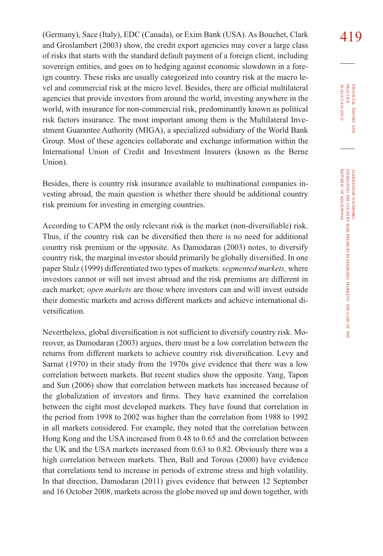419 (Germany), Sace (Italy), EDC (Canada), or Exim Bank (USA). As Bouchet, Clark and Groslambert (2003) show, the credit export agencies may cover a large class of risks that starts with the standard default payment of a foreign client, including sovereign entities, and goes on to hedging against economic slowdown in a foreign country. These risks are usually categorized into country risk at the macro level and commercial risk at the micro level. Besides, there are official multilateral agencies that provide investors from around the world, investing anywhere in the world, with insurance for non-commercial risk, predominantly known as political risk factors insurance. The most important among them is the Multilateral Investment Guarantee Authority (MIGA), a specialized subsidiary of the World Bank Group. Most of these agencies collaborate and exchange information within the International Union of Credit and Investment Insurers (known as the Berne Union).

Besides, there is country risk insurance available to multinational companies investing abroad, the main question is whether there should be additional country risk premium for investing in emerging countries.

According to CAPM the only relevant risk is the market (non-diversifiable) risk. Thus, if the country risk can be diversified then there is no need for additional country risk premium or the opposite. As Damodaran (2003) notes, to diversify country risk, the marginal investor should primarily be globally diversified. In one paper Stulz (1999) differentiated two types of markets: *segmented markets,* where investors cannot or will not invest abroad and the risk premiums are different in each market; *open markets* are those where investors can and will invest outside their domestic markets and across different markets and achieve international diversification.

Nevertheless, global diversification is not sufficient to diversify country risk. Moreover, as Damodaran (2003) argues, there must be a low correlation between the returns from different markets to achieve country risk diversification. Levy and Sarnat (1970) in their study from the 1970s give evidence that there was a low correlation between markets. But recent studies show the opposite. Yang, Tapon and Sun (2006) show that correlation between markets has increased because of the globalization of investors and firms. They have examined the correlation between the eight most developed markets. They have found that correlation in the period from 1998 to 2002 was higher than the correlation from 1988 to 1992 in all markets considered. For example, they noted that the correlation between Hong Kong and the USA increased from 0.48 to 0.65 and the correlation between the UK and the USA markets increased from 0.63 to 0.82. Obviously there was a high correlation between markets. Then, Ball and Torous (2000) have evidence that correlations tend to increase in periods of extreme stress and high volatility. In that direction, Damodaran (2011) gives evidence that between 12 September and 16 October 2008, markets across the globe moved up and down together, with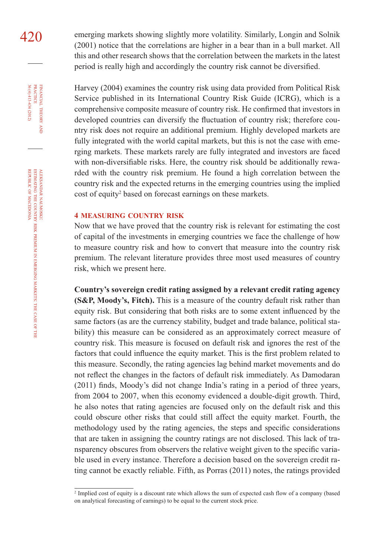420 emerging markets showing slightly more volatility. Similarly, Longin and Solnik (2001) notice that the correlations are higher in a bear than in a bull market. All this and other research shows that the correlation between the markets in the latest period is really high and accordingly the country risk cannot be diversified.

> Harvey (2004) examines the country risk using data provided from Political Risk Service published in its International Country Risk Guide (ICRG), which is a comprehensive composite measure of country risk. He confirmed that investors in developed countries can diversify the fluctuation of country risk; therefore country risk does not require an additional premium. Highly developed markets are fully integrated with the world capital markets, but this is not the case with emerging markets. These markets rarely are fully integrated and investors are faced with non-diversifiable risks. Here, the country risk should be additionally rewarded with the country risk premium. He found a high correlation between the country risk and the expected returns in the emerging countries using the implied cost of equity<sup>2</sup> based on forecast earnings on these markets.

#### **4 MEASURING COUNTRY RISK**

Now that we have proved that the country risk is relevant for estimating the cost of capital of the investments in emerging countries we face the challenge of how to measure country risk and how to convert that measure into the country risk premium. The relevant literature provides three most used measures of country risk, which we present here.

**Country's sovereign credit rating assigned by a relevant credit rating agency (S&P, Moody's, Fitch).** This is a measure of the country default risk rather than equity risk. But considering that both risks are to some extent influenced by the same factors (as are the currency stability, budget and trade balance, political stability) this measure can be considered as an approximately correct measure of country risk. This measure is focused on default risk and ignores the rest of the factors that could influence the equity market. This is the first problem related to this measure. Secondly, the rating agencies lag behind market movements and do not reflect the changes in the factors of default risk immediately. As Damodaran  $(2011)$  finds, Moody's did not change India's rating in a period of three years, from 2004 to 2007, when this economy evidenced a double-digit growth. Third, he also notes that rating agencies are focused only on the default risk and this could obscure other risks that could still affect the equity market. Fourth, the methodology used by the rating agencies, the steps and specific considerations that are taken in assigning the country ratings are not disclosed. This lack of transparency obscures from observers the relative weight given to the specific variable used in every instance. Therefore a decision based on the sovereign credit rating cannot be exactly reliable. Fifth, as Porras (2011) notes, the ratings provided

36 (4) 413-434 (2012) PRACTICE FINANCIAL

FINANCIAL THEORY<br>PRACTICE 36 (4) 413-434 (2012)

THEORY AND

<sup>2</sup> Implied cost of equity is a discount rate which allows the sum of expected cash flow of a company (based on analytical forecasting of earnings) to be equal to the current stock price.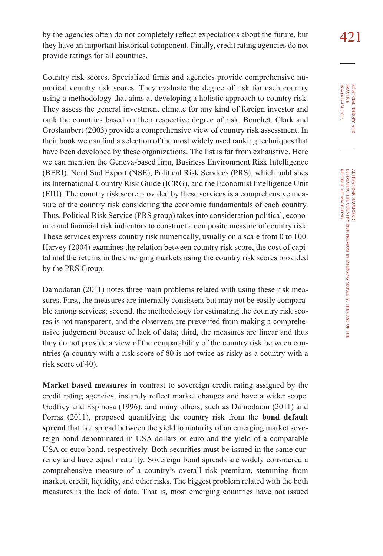by the agencies often do not completely reflect expectations about the future, but  $421$ they have an important historical component. Finally, credit rating agencies do not provide ratings for all countries.

Country risk scores. Specialized firms and agencies provide comprehensive numerical country risk scores. They evaluate the degree of risk for each country using a methodology that aims at developing a holistic approach to country risk. They assess the general investment climate for any kind of foreign investor and rank the countries based on their respective degree of risk. Bouchet, Clark and Groslambert (2003) provide a comprehensive view of country risk assessment. In their book we can find a selection of the most widely used ranking techniques that have been developed by these organizations. The list is far from exhaustive. Here we can mention the Geneva-based firm, Business Environment Risk Intelligence (BERI), Nord Sud Export (NSE), Political Risk Services (PRS), which publishes its International Country Risk Guide (ICRG), and the Economist Intelligence Unit (EIU). The country risk score provided by these services is a comprehensive measure of the country risk considering the economic fundamentals of each country. Thus, Political Risk Service (PRS group) takes into consideration political, economic and financial risk indicators to construct a composite measure of country risk. These services express country risk numerically, usually on a scale from 0 to 100. Harvey (2004) examines the relation between country risk score, the cost of capital and the returns in the emerging markets using the country risk scores provided by the PRS Group.

Damodaran (2011) notes three main problems related with using these risk measures. First, the measures are internally consistent but may not be easily comparable among services; second, the methodology for estimating the country risk scores is not transparent, and the observers are prevented from making a comprehensive judgement because of lack of data; third, the measures are linear and thus they do not provide a view of the comparability of the country risk between countries (a country with a risk score of 80 is not twice as risky as a country with a risk score of 40).

**Market based measures** in contrast to sovereign credit rating assigned by the credit rating agencies, instantly reflect market changes and have a wider scope. Godfrеy and Espinosa (1996), and many others, such as Damodaran (2011) and Porras (2011), proposed quantifying the country risk from the **bond default spread** that is a spread between the yield to maturity of an emerging market sovereign bond denominated in USA dollars or euro and the yield of a comparable USA or euro bond, respectively. Both securities must be issued in the same currency and have equal maturity. Sovereign bond spreads are widely considered a comprehensive measure of a country's overall risk premium, stemming from market, credit, liquidity, and other risks. The biggest problem related with the both measures is the lack of data. That is, most emerging countries have not issued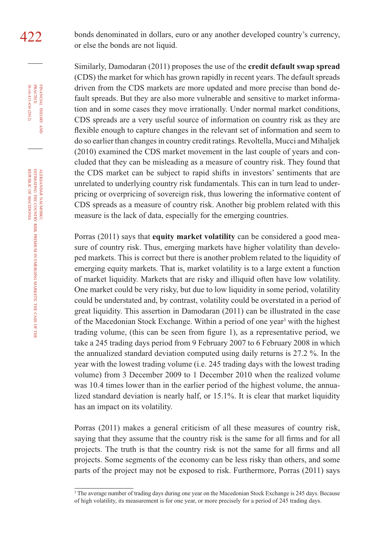422 bonds denominated in dollars, euro or any another developed country's currency, or else the bonds are not liquid.

> Similarly, Damodaran (2011) proposes the use of the **credit default swap spread** (CDS) the market for which has grown rapidly in recent years. The default spreads driven from the CDS markets are more updated and more precise than bond default spreads. But they are also more vulnerable and sensitive to market information and in some cases they move irrationally. Under normal market conditions, CDS spreads are a very useful source of information on country risk as they are flexible enough to capture changes in the relevant set of information and seem to do so earlier than changes in country credit ratings. Revoltella, Mucci and Mihaljek (2010) examined the CDS market movement in the last couple of years and concluded that they can be misleading as a measure of country risk. They found that the CDS market can be subject to rapid shifts in investors' sentiments that are unrelated to underlying country risk fundamentals. This can in turn lead to underpricing or overpricing of sovereign risk, thus lowering the informative content of CDS spreads as a measure of country risk. Another big problem related with this measure is the lack of data, especially for the emerging countries.

> Porras (2011) says that **equity market volatility** can be considered a good measure of country risk. Thus, emerging markets have higher volatility than developed markets. This is correct but there is another problem related to the liquidity of emerging equity markets. That is, market volatility is to a large extent a function of market liquidity. Markets that are risky and illiquid often have low volatility. One market could be very risky, but due to low liquidity in some period, volatility could be understated and, by contrast, volatility could be overstated in a period of great liquidity. This assertion in Damodaran (2011) can be illustrated in the case of the Macedonian Stock Exchange. Within a period of one year<sup>3</sup> with the highest trading volume, (this can be seen from figure 1), as a representative period, we take a 245 trading days period from 9 February 2007 to 6 February 2008 in which the annualized standard deviation computed using daily returns is 27.2 %. In the year with the lowest trading volume (i.e. 245 trading days with the lowest trading volume) from 3 December 2009 to 1 December 2010 when the realized volume was 10.4 times lower than in the earlier period of the highest volume, the annualized standard deviation is nearly half, or 15.1%. It is clear that market liquidity has an impact on its volatility.

> Porras (2011) makes a general criticism of all these measures of country risk, saying that they assume that the country risk is the same for all firms and for all projects. The truth is that the country risk is not the same for all firms and all projects. Some segments of the economy can be less risky than others, and some parts of the project may not be exposed to risk. Furthermore, Porras (2011) says

FINANCIAL

FINANCIAL THEORY<br>PRACTICE 36 (4) 413-434 (2012)

36 (4) 413-434 (2012) PRACTICE

THEORY

<sup>&</sup>lt;sup>3</sup> The average number of trading days during one year on the Macedonian Stock Exchange is 245 days. Because of high volatility, its measurement is for one year, or more precisely for a period of 245 trading days.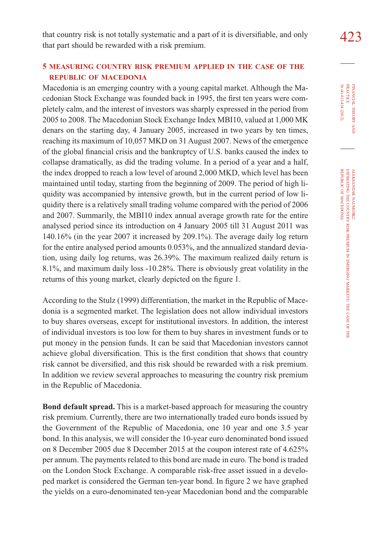that country risk is not totally systematic and a part of it is diversifiable, and only  $\frac{423}{}$ that part should be rewarded with a risk premium.

## **5 MEASURING COUNTRY RISK PREMIUM APPLIED IN THE CASE OF THE REPUBLIC OF MACEDONIA**

Macedonia is an emerging country with a young capital market. Although the Macedonian Stock Exchange was founded back in 1995, the first ten years were completely calm, and the interest of investors was sharply expressed in the period from 2005 to 2008. The Macedonian Stock Exchange Index MBI10, valued at 1,000 MK denars on the starting day, 4 January 2005, increased in two years by ten times, reaching its maximum of 10,057 MKD on 31 August 2007. News of the emergence of the global financial crisis and the bankruptcy of U.S. banks caused the index to collapse dramatically, as did the trading volume. In a period of a year and a half, the index dropped to reach a low level of around 2,000 MKD, which level has been maintained until today, starting from the beginning of 2009. The period of high liquidity was accompanied by intensive growth, but in the current period of low liquidity there is a relatively small trading volume compared with the period of 2006 and 2007. Summarily, the MBI10 index annual average growth rate for the entire analysed period since its introduction on 4 January 2005 till 31 August 2011 was 140.16% (in the year 2007 it increased by 209.1%). The average daily log return for the entire analysed period amounts 0.053%, and the annualized standard deviation, using daily log returns, was 26.39%. The maximum realized daily return is 8.1%, and maximum daily loss -10.28%. There is obviously great volatility in the returns of this young market, clearly depicted on the figure 1.

According to the Stulz (1999) differentiation, the market in the Republic of Macedonia is a segmented market. The legislation does not allow individual investors to buy shares overseas, except for institutional investors. In addition, the interest of individual investors is too low for them to buy shares in investment funds or to put money in the pension funds. It can be said that Macedonian investors cannot achieve global diversification. This is the first condition that shows that country risk cannot be diversified, and this risk should be rewarded with a risk premium. In addition we review several approaches to measuring the country risk premium in the Republic of Macedonia.

**Bond default spread.** This is a market-based approach for measuring the country risk premium. Currently, there are two internationally traded euro bonds issued by the Government of the Republic of Macedonia, one 10 year and one 3.5 year bond. In this analysis, we will consider the 10-year euro denominated bond issued on 8 December 2005 due 8 December 2015 at the coupon interest rate of 4.625% per annum. The payments related to this bond are made in euro. The bond is traded on the London Stock Exchange. A comparable risk-free asset issued in a developed market is considered the German ten-year bond. In figure 2 we have graphed the yields on a euro-denominated ten-year Macedonian bond and the comparable

FINANCIAL THEORY FINANCIAL THEORY AND RRACTICE<br>PRACTICE<br>36 (4) 413-434 (2012) 36 (4) 413-434 (2012) PRACTICE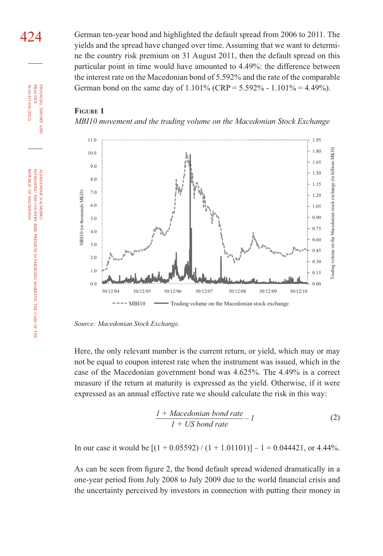424 German ten-year bond and highlighted the default spread from 2006 to 2011. The yields and the spread have changed over time. Assuming that we want to determine the country risk premium on 31 August 2011, then the default spread on this particular point in time would have amounted to 4.49%: the difference between the interest rate on the Macedonian bond of 5.592% and the rate of the comparable German bond on the same day of  $1.101\%$  (CRP = 5.592% -  $1.101\%$  = 4.49%).

#### **FIGURE 1**





*Source: Macedonian Stock Exchange.* 

Here, the only relevant number is the current return, or yield, which may or may not be equal to coupon interest rate when the instrument was issued, which in the case of the Macedonian government bond was 4.625%. The 4.49% is a correct measure if the return at maturity is expressed as the yield. Otherwise, if it were expressed as an annual effective rate we should calculate the risk in this way:

$$
\frac{1 + \text{Macedonian bond rate}}{1 + \text{US bond rate}} - 1\tag{2}
$$

In our case it would be  $[(1 + 0.05592) / (1 + 1.01101)] - 1 = 0.044421$ , or 4.44%.

As can be seen from figure 2, the bond default spread widened dramatically in a one-year period from July 2008 to July 2009 due to the world financial crisis and the uncertainty perceived by investors in connection with putting their money in

FINANCIAL

36 (4) 413-434 (2012) PRACTICE

36 (4) 413-434 (2012) **PRACTICE** FINANCIAL THEORY

THEORY AND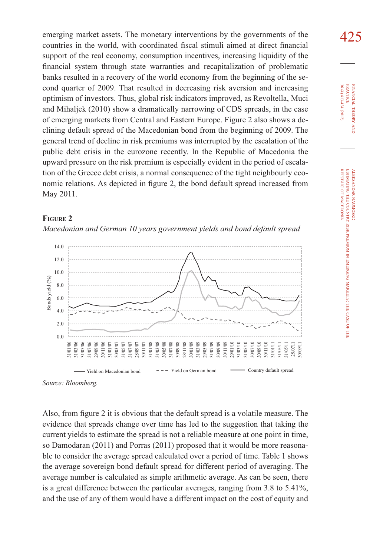emerging market assets. The monetary interventions by the governments of the countries in the world, with coordinated fiscal stimuli aimed at direct financial support of the real economy, consumption incentives, increasing liquidity of the financial system through state warranties and recapitalization of problematic banks resulted in a recovery of the world economy from the beginning of the second quarter of 2009. That resulted in decreasing risk aversion and increasing optimism of investors. Thus, global risk indicators improved, as Revoltella, Muci and Mihaljek (2010) show a dramatically narrowing of CDS spreads, in the case of emerging markets from Central and Eastern Europe. Figure 2 also shows a declining default spread of the Macedonian bond from the beginning of 2009. The general trend of decline in risk premiums was interrupted by the escalation of the public debt crisis in the eurozone recently. In the Republic of Macedonia the upward pressure on the risk premium is especially evident in the period of escalation of the Greece debt crisis, a normal consequence of the tight neighbourly economic relations. As depicted in figure 2, the bond default spread increased from May 2011.

## **FIGURE 2**





*Source: Bloomberg.*

Also, from figure 2 it is obvious that the default spread is a volatile measure. The evidence that spreads change over time has led to the suggestion that taking the current yields to estimate the spread is not a reliable measure at one point in time, so Damodaran (2011) and Porras (2011) proposed that it would be more reasonable to consider the average spread calculated over a period of time. Table 1 shows the average sovereign bond default spread for different period of averaging. The average number is calculated as simple arithmetic average. As can be seen, there is a great difference between the particular averages, ranging from 3.8 to 5.41%, Also, from figure 2 it is obvious that the default spread is a volatile measure. The evidence that spread and proposed that it would be not enable to consider the average spread calculated over a period of time. Table 1 s 36 (4) 413-434 (2012) **PRACTICE** PRACTICE FINANCIAL 36 (4) 413-434 (2012) FINANCIAL THEORY THEORY AND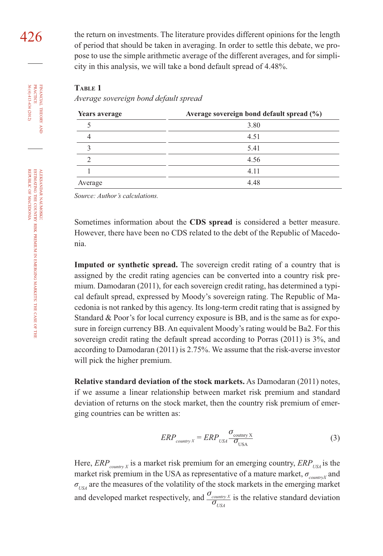$426$  the return on investments. The literature provides different opinions for the length of period that should be taken in averaging. In order to settle this debate, we propose to use the simple arithmetic average of the different averages, and for simplicity in this analysis, we will take a bond default spread of 4.48%.

#### **TABLE 1**

*Average sovereign bond default spread*

| Years average | Average sovereign bond default spread (%) |  |  |
|---------------|-------------------------------------------|--|--|
|               | 3.80                                      |  |  |
|               | 4.51                                      |  |  |
| $\mathbf{3}$  | 5.41                                      |  |  |
|               | 4.56                                      |  |  |
|               | 4.11                                      |  |  |
| Average       | 4.48                                      |  |  |

*Source: Author's calculations.*

Sometimes information about the **CDS spread** is considered a better measure. However, there have been no CDS related to the debt of the Republic of Macedonia.

**Imputed or synthetic spread.** The sovereign credit rating of a country that is assigned by the credit rating agencies can be converted into a country risk premium. Damodaran (2011), for each sovereign credit rating, has determined a typical default spread, expressed by Moody's sovereign rating. The Republic of Macedonia is not ranked by this agency. Its long-term credit rating that is assigned by Standard & Poor's for local currency exposure is BB, and is the same as for exposure in foreign currency BB. An equivalent Moody's rating would be Ba2. For this sovereign credit rating the default spread according to Porras (2011) is 3%, and according to Damodaran (2011) is 2.75%. We assume that the risk-averse investor will pick the higher premium.

**Relative standard deviation of the stock markets.** As Damodaran (2011) notes, if we assume a linear relationship between market risk premium and standard deviation of returns on the stock market, then the country risk premium of emerging countries can be written as:

$$
ERP_{\text{country } X} = ERP_{\text{USA}} \frac{\sigma_{\text{country } X}}{\sigma_{\text{USA}}}
$$
 (3)

Here,  $\text{ERP}_{\text{contrast}}$  is a market risk premium for an emerging country,  $\text{ERP}_{\text{USA}}$  is the market risk premium in the USA as representative of a mature market,  $\sigma_{\text{countery}}$  and  $\sigma_{USA}$  are the measures of the volatility of the stock markets in the emerging market and developed market respectively, and  $\frac{\sigma_{country} x}{\sigma_{USA}}$  is the relative standard deviation

FINANCIAL THEORY AND PRACTICE 36 (4) 413-434 (2012) 36 (4) 413-434 (2012) PRACTICE FINANCIAL THEORY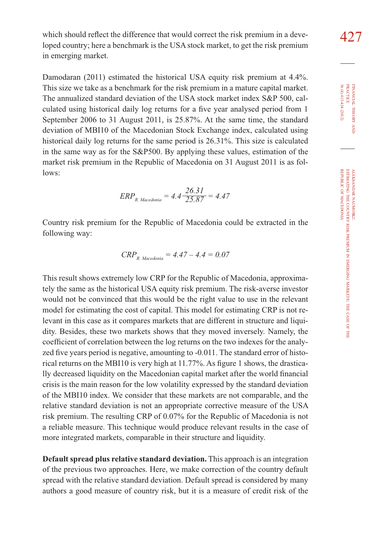which should reflect the difference that would correct the risk premium in a deve- $427$ loped country; here a benchmark is the USA stock market, to get the risk premium in emerging market.

Damodaran (2011) estimated the historical USA equity risk premium at 4.4%. This size we take as a benchmark for the risk premium in a mature capital market. The annualized standard deviation of the USA stock market index S&P 500, calculated using historical daily log returns for a five year analysed period from 1 September 2006 to 31 August 2011, is 25.87%. At the same time, the standard deviation of MBI10 of the Macedonian Stock Exchange index, calculated using historical daily log returns for the same period is 26.31%. This size is calculated in the same way as for the S&P500. By applying these values, estimation of the market risk premium in the Republic of Macedonia on 31 August 2011 is as follows:

$$
ERP_{R. \text{ Macedonia}} = 4.4 \frac{26.31}{25.87} = 4.47
$$

Country risk premium for the Republic of Macedonia could be extracted in the following way:

$$
CRP_{R. Macedonia} = 4.47 - 4.4 = 0.07
$$

This result shows extremely low CRP for the Republic of Macedonia, approximately the same as the historical USA equity risk premium. The risk-averse investor would not be convinced that this would be the right value to use in the relevant model for estimating the cost of capital. This model for estimating CRP is not relevant in this case as it compares markets that are different in structure and liquidity. Besides, these two markets shows that they moved inversely. Namely, the coefficient of correlation between the log returns on the two indexes for the analyzed five years period is negative, amounting to -0.011. The standard error of historical returns on the MBI10 is very high at 11.77%. As figure 1 shows, the drastically decreased liquidity on the Macedonian capital market after the world financial crisis is the main reason for the low volatility expressed by the standard deviation of the MBI10 index. We consider that these markets are not comparable, and the relative standard deviation is not an appropriate corrective measure of the USA risk premium. The resulting CRP of 0.07% for the Republic of Macedonia is not a reliable measure. This technique would produce relevant results in the case of more integrated markets, comparable in their structure and liquidity.

**Default spread plus relative standard deviation.** This approach is an integration of the previous two approaches. Here, we make correction of the country default spread with the relative standard deviation. Default spread is considered by many authors a good measure of country risk, but it is a measure of credit risk of the

FINANCIAL THEORY FINANCIAL THEORY AND RRACTICE<br>PRACTICE<br>36 (4) 413-434 (2012) 36 (4) 413-434 (2012) PRACTICE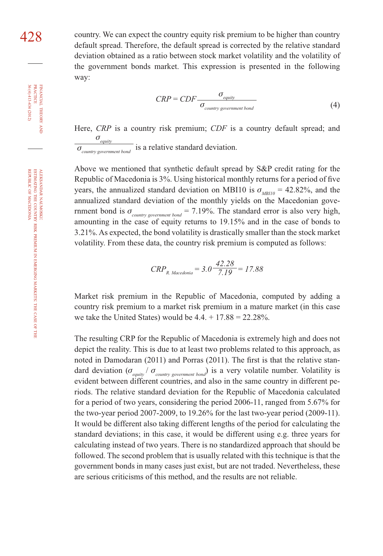428 country. We can expect the country equity risk premium to be higher than country default spread. Therefore, the default spread is corrected by the relative standard deviation obtained as a ratio between stock market volatility and the volatility of the government bonds market. This expression is presented in the following way:

$$
CRP = CDF \frac{\sigma_{\text{equity}}}{\sigma_{\text{counterly government bond}}}
$$
\n(4)

Here, *CRP* is a country risk premium; *CDF* is a country default spread; and σ*equity* σ*country government bond* is a relative standard deviation.

Above we mentioned that synthetic default spread by S&P credit rating for the Republic of Macedonia is 3%. Using historical monthly returns for a period of five years, the annualized standard deviation on MBI10 is  $\sigma_{MBII0} = 42.82\%$ , and the annualized standard deviation of the monthly yields on the Macedonian government bond is  $\sigma_{\text{counter}}$  government bond = 7.19%. The standard error is also very high, amounting in the case of equity returns to 19.15% and in the case of bonds to 3.21%. As expected, the bond volatility is drastically smaller than the stock market volatility. From these data, the country risk premium is computed as follows:

$$
CRP_{R. Macedonia} = 3.0 \frac{42.28}{7.19} = 17.88
$$

Market risk premium in the Republic of Macedonia, computed by adding a country risk premium to a market risk premium in a mature market (in this case we take the United States) would be  $4.4. + 17.88 = 22.28\%$ .

The resulting CRP for the Republic of Macedonia is extremely high and does not depict the reality. This is due to at least two problems related to this approach, as noted in Damodaran (2011) and Porras (2011). The first is that the relative standard deviation ( $\sigma_{\text{equiv}}$ )  $\sigma_{\text{counter}}$  *o*<sub>country government bond</sub>) is a very volatile number. Volatility is evident between different countries, and also in the same country in different periods. The relative standard deviation for the Republic of Macedonia calculated for a period of two years, considering the period 2006-11, ranged from 5.67% for the two-year period 2007-2009, to 19.26% for the last two-year period (2009-11). It would be different also taking different lengths of the period for calculating the standard deviations; in this case, it would be different using e.g. three years for calculating instead of two years. There is no standardized approach that should be followed. The second problem that is usually related with this technique is that the government bonds in many cases just exist, but are not traded. Nevertheless, these are serious criticisms of this method, and the results are not reliable.

FINANCIAL

36 (4) 413-434 (2012)

THEORY FINANCIAL THEORY AND PRACTICE 36 (4) 413-434 (2012) PRACTICE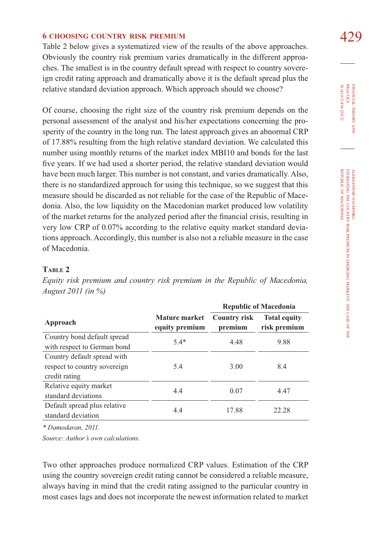## **<sup>6</sup> CHOOSING COUNTRY RISK PREMIUM** 429

Table 2 below gives a systematized view of the results of the above approaches. Obviously the country risk premium varies dramatically in the different approaches. The smallest is in the country default spread with respect to country sovereign credit rating approach and dramatically above it is the default spread plus the relative standard deviation approach. Which approach should we choose?

Of course, choosing the right size of the country risk premium depends on the personal assessment of the analyst and his/her expectations concerning the prosperity of the country in the long run. The latest approach gives an abnormal CRP of 17.88% resulting from the high relative standard deviation. We calculated this number using monthly returns of the market index MBI10 and bonds for the last five years. If we had used a shorter period, the relative standard deviation would have been much larger. This number is not constant, and varies dramatically. Also, there is no standardized approach for using this technique, so we suggest that this measure should be discarded as not reliable for the case of the Republic of Macedonia. Also, the low liquidity on the Macedonian market produced low volatility of the market returns for the analyzed period after the financial crisis, resulting in very low CRP of 0.07% according to the relative equity market standard deviations approach. Accordingly, this number is also not a reliable measure in the case of Macedonia.

## **TABLE 2**

*Equity risk premium and country risk premium in the Republic of Macedonia, August 2011 (in %)*

|                                                                              |                                        | <b>Republic of Macedonia</b>   |                                     |
|------------------------------------------------------------------------------|----------------------------------------|--------------------------------|-------------------------------------|
| Approach                                                                     | <b>Mature market</b><br>equity premium | <b>Country risk</b><br>premium | <b>Total equity</b><br>risk premium |
| Country bond default spread<br>with respect to German bond                   | $5.4*$                                 | 4.48                           | 9.88                                |
| Country default spread with<br>respect to country sovereign<br>credit rating | 5.4                                    | 3.00                           | 8.4                                 |
| Relative equity market<br>standard deviations                                | 4.4                                    | 0.07                           | 4.47                                |
| Default spread plus relative<br>standard deviation                           | 4.4                                    | 17.88                          | 22.28                               |

*\* Damodaran, 2011.*

*Source: Author's own calculations.*

Two other approaches produce normalized CRP values. Estimation of the CRP using the country sovereign credit rating cannot be considered a reliable measure, always having in mind that the credit rating assigned to the particular country in most cases lags and does not incorporate the newest information related to market

FINANCIAL THEORY FINANCIAL THEORY AND PRACTICE<br>PRACTICE<br>36 (4) 413-434 (2012) 36 (4) 413-434 (2012) PRACTICE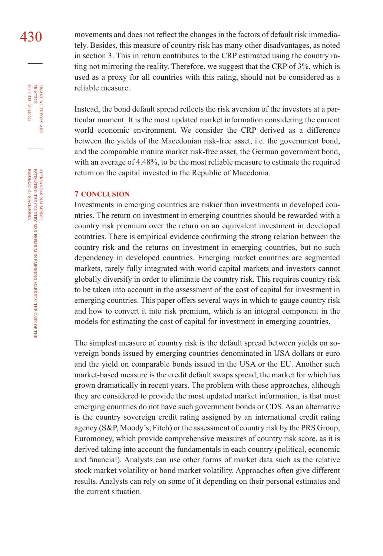430 movements and does not reflect the changes in the factors of default risk immediately. Besides, this measure of country risk has many other disadvantages, as noted in section 3. This in return contributes to the CRP estimated using the country rating not mirroring the reality. Therefore, we suggest that the CRP of 3%, which is used as a proxy for all countries with this rating, should not be considered as a reliable measure.

> Instead, the bond default spread reflects the risk aversion of the investors at a particular moment. It is the most updated market information considering the current world economic environment. We consider the CRP derived as a difference between the yields of the Macedonian risk-free asset, i.e. the government bond, and the comparable mature market risk-free asset, the German government bond, with an average of 4.48%, to be the most reliable measure to estimate the required return on the capital invested in the Republic of Macedonia.

#### **7 CONCLUSION**

Investments in emerging countries are riskier than investments in developed countries. The return on investment in emerging countries should be rewarded with a country risk premium over the return on an equivalent investment in developed countries. There is empirical evidence confirming the strong relation between the country risk and the returns on investment in emerging countries, but no such dependency in developed countries. Emerging market countries are segmented markets, rarely fully integrated with world capital markets and investors cannot globally diversify in order to eliminate the country risk. This requires country risk to be taken into account in the assessment of the cost of capital for investment in emerging countries. This paper offers several ways in which to gauge country risk and how to convert it into risk premium, which is an integral component in the models for estimating the cost of capital for investment in emerging countries.

The simplest measure of country risk is the default spread between yields on sovereign bonds issued by emerging countries denominated in USA dollars or euro and the yield on comparable bonds issued in the USA or the EU. Another such market-based measure is the credit default swaps spread, the market for which has grown dramatically in recent years. The problem with these approaches, although they are considered to provide the most updated market information, is that most emerging countries do not have such government bonds or CDS. As an alternative is the country sovereign credit rating assigned by an international credit rating agency (S&P, Moody's, Fitch) or the assessment of country risk by the PRS Group, Euromoney, which provide comprehensive measures of country risk score, as it is derived taking into account the fundamentals in each country (political, economic and financial). Analysts can use other forms of market data such as the relative stock market volatility or bond market volatility. Approaches often give different results. Analysts can rely on some of it depending on their personal estimates and the current situation.

FINANCIAL

FINANCIAL THEORY<br>PRACTICE 36 (4) 413-434 (2012)

36 (4) 413-434 (2012) PRACTICE

THEORY AND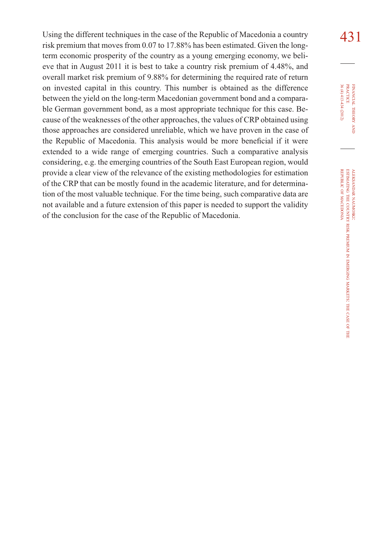Using the different techniques in the case of the Republic of Macedonia a country  $\frac{431}{2}$ risk premium that moves from 0.07 to 17.88% has been estimated. Given the longterm economic prosperity of the country as a young emerging economy, we believe that in August 2011 it is best to take a country risk premium of 4.48%, and overall market risk premium of 9.88% for determining the required rate of return on invested capital in this country. This number is obtained as the difference between the yield on the long-term Macedonian government bond and a comparable German government bond, as a most appropriate technique for this case. Because of the weaknesses of the other approaches, the values of CRP obtained using those approaches are considered unreliable, which we have proven in the case of the Republic of Macedonia. This analysis would be more beneficial if it were extended to a wide range of emerging countries. Such a comparative analysis considering, e.g. the emerging countries of the South East European region, would provide a clear view of the relevance of the existing methodologies for estimation of the CRP that can be mostly found in the academic literature, and for determination of the most valuable technique. For the time being, such comparative data are not available and a future extension of this paper is needed to support the validity of the conclusion for the case of the Republic of Macedonia.

36 (4) 413-434 (2012) **PRACTICE** PRACTICE FINANCIAL THEORY FINANCIAL 36 (4) 413-434 (2012) THEORY AND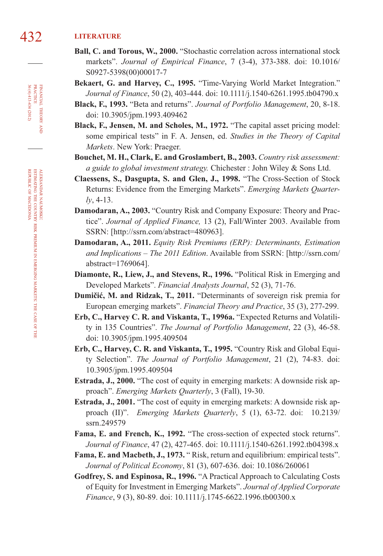# 432 **LITERATURE**

- **Ball, C. and Torous, W., 2000.** "Stochastic correlation across international stock markets". *Journal of Empirical Finance*, 7 (3-4), 373-388. doi: 10.1016/ S0927-5398(00)00017-7
- **Bekaert, G. and Harvey, C., 1995.** "Time-Varying World Market Integration." *Journal of Finance*, 50 (2), 403-444. doi: 10.1111/j.1540-6261.1995.tb04790.x
- **Black, F., 1993.** "Beta and returns". *Journal of Portfolio Management*, 20, 8-18. doi: 10.3905/jpm.1993.409462
- **Black, F., Jensen, M. and Scholes, M., 1972.** "The capital asset pricing model: some empirical tests" in F. A. Jensen, ed. *Studies in the Theory of Capital Markets*. New York: Praeger.
- **Bouchet, M. H., Clark, E. and Groslambert, B., 2003.** *Country risk assessment: a guide to global investment strategy.* Chichester : John Wiley & Sons Ltd.
- **Claessens, S., Dasgupta, S. and Glen, J., 1998.** "The Cross-Section of Stock Returns: Evidence from the Emerging Markets". *Emerging Markets Quarterly*, 4-13.
- **Damodaran, A., 2003.** "Country Risk and Company Exposure: Theory and Practice". *Journal of Applied Finance,* 13 (2), Fall/Winter 2003. Available from SSRN: [http://ssrn.com/abstract=480963].
- **Damodaran, A., 2011.** *Equity Risk Premiums (ERP): Determinants, Estimation and Implications – The 2011 Edition*. Available from SSRN: [http://ssrn.com/ abstract=1769064].
- **Diamonte, R., Liew, J., and Stevens, R., 1996.** "Political Risk in Emerging and Developed Markets". *Financial Analysts Journal*, 52 (3), 71-76.
- **Dumičić, M. and Ridzak, T., 2011.** "Determinants of sovereign risk premia for European emerging markets". *Financial Theory and Practice*, 35 (3), 277-299.
- **Erb, C., Harvey C. R. and Viskanta, T., 1996a.** "Expected Returns and Volatility in 135 Countries". *The Journal of Portfolio Management*, 22 (3), 46-58. doi: 10.3905/jpm.1995.409504
- Erb, C., Harvey, C. R. and Viskanta, T., 1995. "Country Risk and Global Equity Selection". *The Journal of Portfolio Management*, 21 (2), 74-83. doi: 10.3905/jpm.1995.409504
- **Estrada, J., 2000.** "The cost of equity in emerging markets: A downside risk approach". *Emerging Markets Quarterly*, 3 (Fall), 19-30.
- **Estrada, J., 2001.** "The cost of equity in emerging markets: A downside risk approach (II)". *Emerging Markets Quarterly*, 5 (1), 63-72. doi: 10.2139/ ssrn.249579
- **Fama, E. and French, K., 1992.** "The cross-section of expected stock returns". *Journal of Finance*, 47 (2), 427-465. doi: 10.1111/j.1540-6261.1992.tb04398.x
- **Fama, E. and Macbeth, J., 1973.** " Risk, return and equilibrium: empirical tests". *Journal of Political Economy*, 81 (3), 607-636. doi: 10.1086/260061
- **Godfrey, S. and Espinosa, R., 1996.** "A Practical Approach to Calculating Costs of Equity for Investment in Emerging Markets". Journal of Applied Corporate *Finance*, 9 (3), 80-89. doi: 10.1111/j.1745-6622.1996.tb00300.x

FINANCIAL THEORY AND PRACTICE 36 (4) 413-434 (2012) 36 (4) 413-434 (2012) PRACTICE FINANCIAL THEORY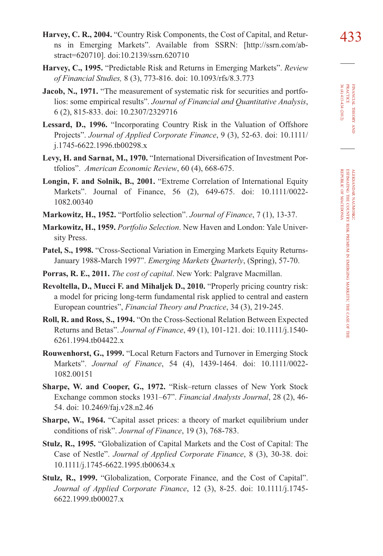- Harvey, C. R., 2004. "Country Risk Components, the Cost of Capital, and Retur-<br>433 ns in Emerging Markets". Available from SSRN: [http://ssrn.com/abstract=620710]. doi:10.2139/ssrn.620710
- **Harvey, C., 1995.** "Predictable Risk and Returns in Emerging Markets". *Review of Financial Studies,* 8 (3), 773-816. doi: 10.1093/rfs/8.3.773
- **Jacob, N., 1971.** "The measurement of systematic risk for securities and portfolios: some empirical results". *Journal of Financial and Quantitative Analysis*, 6 (2), 815-833. doi: 10.2307/2329716
- Lessard, D., 1996. "Incorporating Country Risk in the Valuation of Offshore Projects". *Journal of Applied Corporate Finance*, 9 (3), 52-63. doi: 10.1111/ j.1745-6622.1996.tb00298.x
- **Levy, H. and Sarnat, M., 1970.** "International Diversification of Investment Portfolios". *American Economic Review*, 60 (4), 668-675.
- **Longin, F. and Solnik, B., 2001.** "Extreme Correlation of International Equity Markets". Journal of Finance, 56 (2), 649-675. doi: 10.1111/0022- 1082.00340
- **Markowitz, H., 1952.** "Portfolio selection". *Journal of Finance*, 7 (1), 13-37.
- **Markowitz, H., 1959.** *Portfolio Selection*. New Haven and London: Yale University Press.
- **Patel, S., 1998.** "Cross-Sectional Variation in Emerging Markets Equity Returns-January 1988-March 1997". *Emerging Markets Quarterly*, (Spring), 57-70.
- **Porras, R. E., 2011.** *The cost of capital*. New York: Palgrave Macmillan.
- **Revoltella, D., Mucci F. and Mihaljek D., 2010.** "Properly pricing country risk: a model for pricing long-term fundamental risk applied to central and eastern European countries", *Financial Theory and Practice*, 34 (3), 219-245.
- **Roll, R. and Ross, S., 1994.** "On the Cross-Sectional Relation Between Expected Returns and Betas". *Journal of Finance*, 49 (1), 101-121. doi: 10.1111/j.1540- 6261.1994.tb04422.x
- **Rouwenhorst, G., 1999.** "Local Return Factors and Turnover in Emerging Stock Markets". *Journal of Finance*, 54 (4), 1439-1464. doi: 10.1111/0022- 1082.00151
- **Sharpe, W. and Cooper, G., 1972.** "Risk–return classes of New York Stock Exchange common stocks 1931–67". *Financial Analysts Journal*, 28 (2), 46- 54. doi: 10.2469/faj.v28.n2.46
- **Sharpe, W., 1964.** "Capital asset prices: a theory of market equilibrium under conditions of risk". *Journal of Finance*, 19 (3), 768-783.
- **Stulz, R., 1995.** "Globalization of Capital Markets and the Cost of Capital: The Case of Nestle". *Journal of Applied Corporate Finance*, 8 (3), 30-38. doi: 10.1111/j.1745-6622.1995.tb00634.x
- Stulz, R., 1999. "Globalization, Corporate Finance, and the Cost of Capital". *Journal of Applied Corporate Finance*, 12 (3), 8-25. doi: 10.1111/j.1745- 6622.1999.tb00027.x